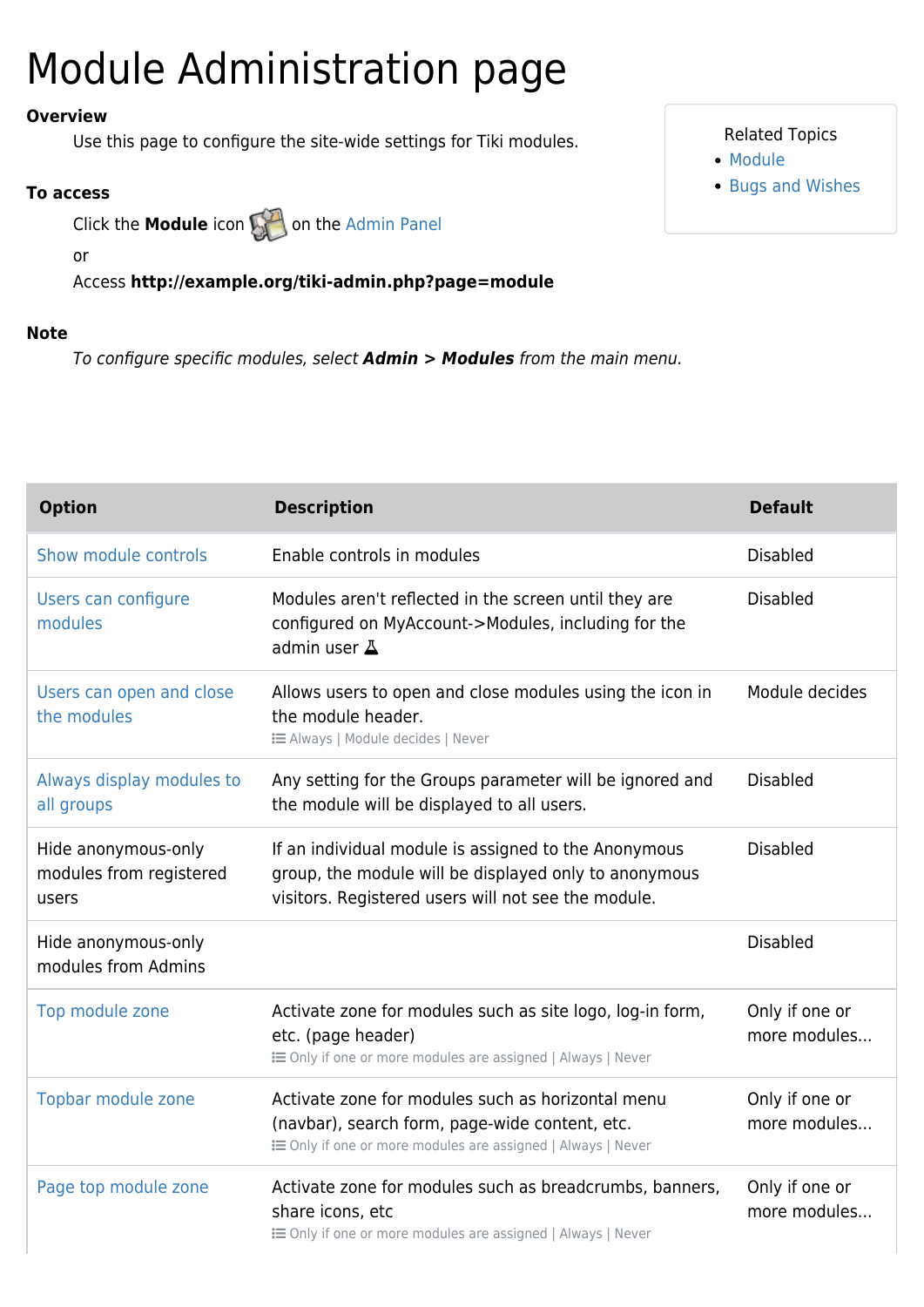## Module Administration page

### **Overview**

Use this page to configure the site-wide settings for Tiki modules.

#### **To access**

Click the **Module** icon **on** the [Admin Panel](https://doc.tiki.org/Admin-Panels)

or

Access **http://example.org/tiki-admin.php?page=module**

#### **Note**

To configure specific modules, select *Admin > Modules* from the main menu.

| <b>Option</b>                                           | <b>Description</b>                                                                                                                                                   | <b>Default</b>                 |
|---------------------------------------------------------|----------------------------------------------------------------------------------------------------------------------------------------------------------------------|--------------------------------|
| Show module controls                                    | Enable controls in modules                                                                                                                                           | <b>Disabled</b>                |
| Users can configure<br>modules                          | Modules aren't reflected in the screen until they are<br>configured on MyAccount->Modules, including for the<br>admin user $\Delta$                                  | <b>Disabled</b>                |
| Users can open and close<br>the modules                 | Allows users to open and close modules using the icon in<br>the module header.<br><b>IE Always   Module decides   Never</b>                                          | Module decides                 |
| Always display modules to<br>all groups                 | Any setting for the Groups parameter will be ignored and<br>the module will be displayed to all users.                                                               | <b>Disabled</b>                |
| Hide anonymous-only<br>modules from registered<br>users | If an individual module is assigned to the Anonymous<br>group, the module will be displayed only to anonymous<br>visitors. Registered users will not see the module. | <b>Disabled</b>                |
| Hide anonymous-only<br>modules from Admins              |                                                                                                                                                                      | <b>Disabled</b>                |
| Top module zone                                         | Activate zone for modules such as site logo, log-in form,<br>etc. (page header)<br>E Only if one or more modules are assigned   Always   Never                       | Only if one or<br>more modules |
| Topbar module zone                                      | Activate zone for modules such as horizontal menu<br>(navbar), search form, page-wide content, etc.<br>E Only if one or more modules are assigned   Always   Never   | Only if one or<br>more modules |
| Page top module zone                                    | Activate zone for modules such as breadcrumbs, banners,<br>share icons, etc<br>E Only if one or more modules are assigned   Always   Never                           | Only if one or<br>more modules |

#### Related Topics

- [Module](https://doc.tiki.org/Module)
- [Bugs and Wishes](http://dev.tiki.org/Administration)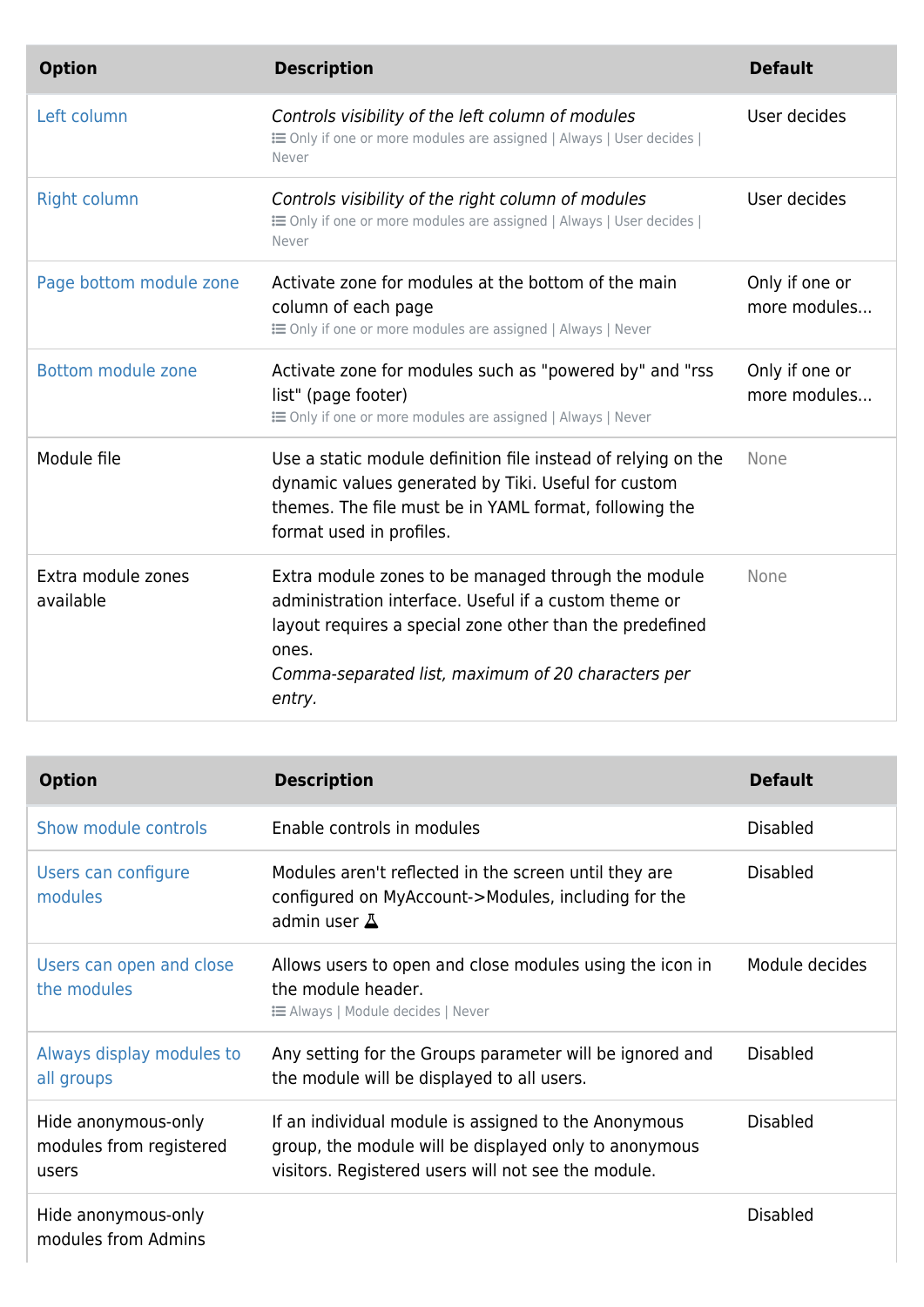| <b>Option</b>                   | <b>Description</b>                                                                                                                                                                                                                                | <b>Default</b>                 |
|---------------------------------|---------------------------------------------------------------------------------------------------------------------------------------------------------------------------------------------------------------------------------------------------|--------------------------------|
| Left column                     | Controls visibility of the left column of modules<br>E Only if one or more modules are assigned   Always   User decides  <br>Never                                                                                                                | User decides                   |
| <b>Right column</b>             | Controls visibility of the right column of modules<br>E Only if one or more modules are assigned   Always   User decides  <br>Never                                                                                                               | User decides                   |
| Page bottom module zone         | Activate zone for modules at the bottom of the main<br>column of each page<br>E Only if one or more modules are assigned   Always   Never                                                                                                         | Only if one or<br>more modules |
| Bottom module zone              | Activate zone for modules such as "powered by" and "rss<br>list" (page footer)<br>E Only if one or more modules are assigned   Always   Never                                                                                                     | Only if one or<br>more modules |
| Module file                     | Use a static module definition file instead of relying on the<br>dynamic values generated by Tiki. Useful for custom<br>themes. The file must be in YAML format, following the<br>format used in profiles.                                        | None                           |
| Extra module zones<br>available | Extra module zones to be managed through the module<br>administration interface. Useful if a custom theme or<br>layout requires a special zone other than the predefined<br>ones.<br>Comma-separated list, maximum of 20 characters per<br>entry. | None                           |

| <b>Option</b>                                           | <b>Description</b>                                                                                                                                                   | <b>Default</b>  |
|---------------------------------------------------------|----------------------------------------------------------------------------------------------------------------------------------------------------------------------|-----------------|
| Show module controls                                    | Enable controls in modules                                                                                                                                           | <b>Disabled</b> |
| Users can configure<br>modules                          | Modules aren't reflected in the screen until they are<br>configured on MyAccount->Modules, including for the<br>admin user $\Delta$                                  | <b>Disabled</b> |
| Users can open and close<br>the modules                 | Allows users to open and close modules using the icon in<br>the module header.<br><b>EXEC</b> Always   Module decides   Never                                        | Module decides  |
| Always display modules to<br>all groups                 | Any setting for the Groups parameter will be ignored and<br>the module will be displayed to all users.                                                               | <b>Disabled</b> |
| Hide anonymous-only<br>modules from registered<br>users | If an individual module is assigned to the Anonymous<br>group, the module will be displayed only to anonymous<br>visitors. Registered users will not see the module. | <b>Disabled</b> |
| Hide anonymous-only<br>modules from Admins              |                                                                                                                                                                      | <b>Disabled</b> |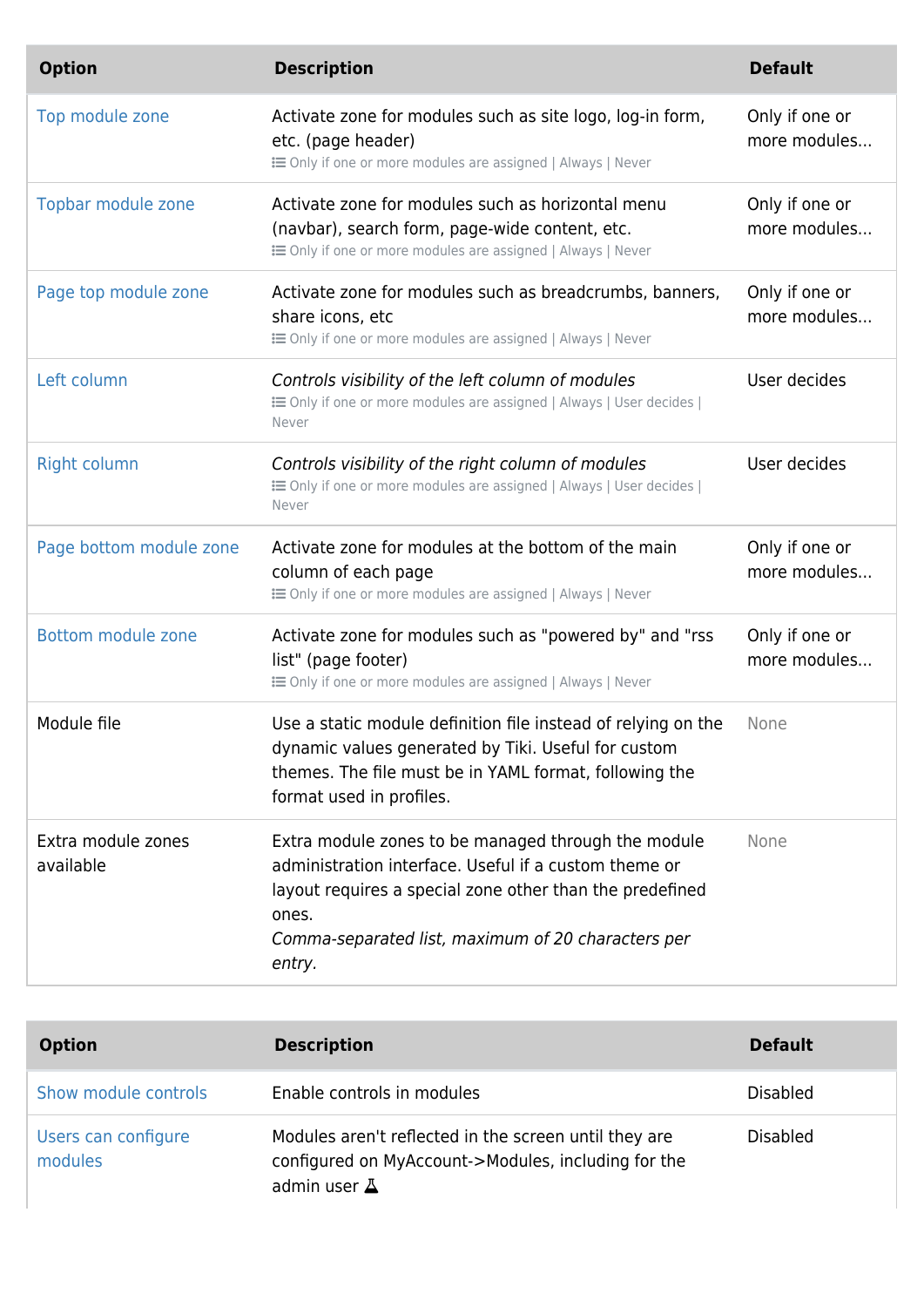| <b>Option</b>                   | <b>Description</b>                                                                                                                                                                                                                                | <b>Default</b>                 |
|---------------------------------|---------------------------------------------------------------------------------------------------------------------------------------------------------------------------------------------------------------------------------------------------|--------------------------------|
| Top module zone                 | Activate zone for modules such as site logo, log-in form,<br>etc. (page header)<br>E Only if one or more modules are assigned   Always   Never                                                                                                    | Only if one or<br>more modules |
| Topbar module zone              | Activate zone for modules such as horizontal menu<br>(navbar), search form, page-wide content, etc.<br>E Only if one or more modules are assigned   Always   Never                                                                                | Only if one or<br>more modules |
| Page top module zone            | Activate zone for modules such as breadcrumbs, banners,<br>share icons, etc<br>E Only if one or more modules are assigned   Always   Never                                                                                                        | Only if one or<br>more modules |
| Left column                     | Controls visibility of the left column of modules<br>E Only if one or more modules are assigned   Always   User decides  <br>Never                                                                                                                | User decides                   |
| <b>Right column</b>             | Controls visibility of the right column of modules<br>E Only if one or more modules are assigned   Always   User decides  <br>Never                                                                                                               | User decides                   |
| Page bottom module zone         | Activate zone for modules at the bottom of the main<br>column of each page<br>E Only if one or more modules are assigned   Always   Never                                                                                                         | Only if one or<br>more modules |
| Bottom module zone              | Activate zone for modules such as "powered by" and "rss<br>list" (page footer)<br>E Only if one or more modules are assigned   Always   Never                                                                                                     | Only if one or<br>more modules |
| Module file                     | Use a static module definition file instead of relying on the<br>dynamic values generated by Tiki. Useful for custom<br>themes. The file must be in YAML format, following the<br>format used in profiles.                                        | None                           |
| Extra module zones<br>available | Extra module zones to be managed through the module<br>administration interface. Useful if a custom theme or<br>layout requires a special zone other than the predefined<br>ones.<br>Comma-separated list, maximum of 20 characters per<br>entry. | None                           |

| <b>Option</b>                  | <b>Description</b>                                                                                                                  | <b>Default</b>  |
|--------------------------------|-------------------------------------------------------------------------------------------------------------------------------------|-----------------|
| Show module controls           | Enable controls in modules                                                                                                          | <b>Disabled</b> |
| Users can configure<br>modules | Modules aren't reflected in the screen until they are<br>configured on MyAccount->Modules, including for the<br>admin user $\Delta$ | <b>Disabled</b> |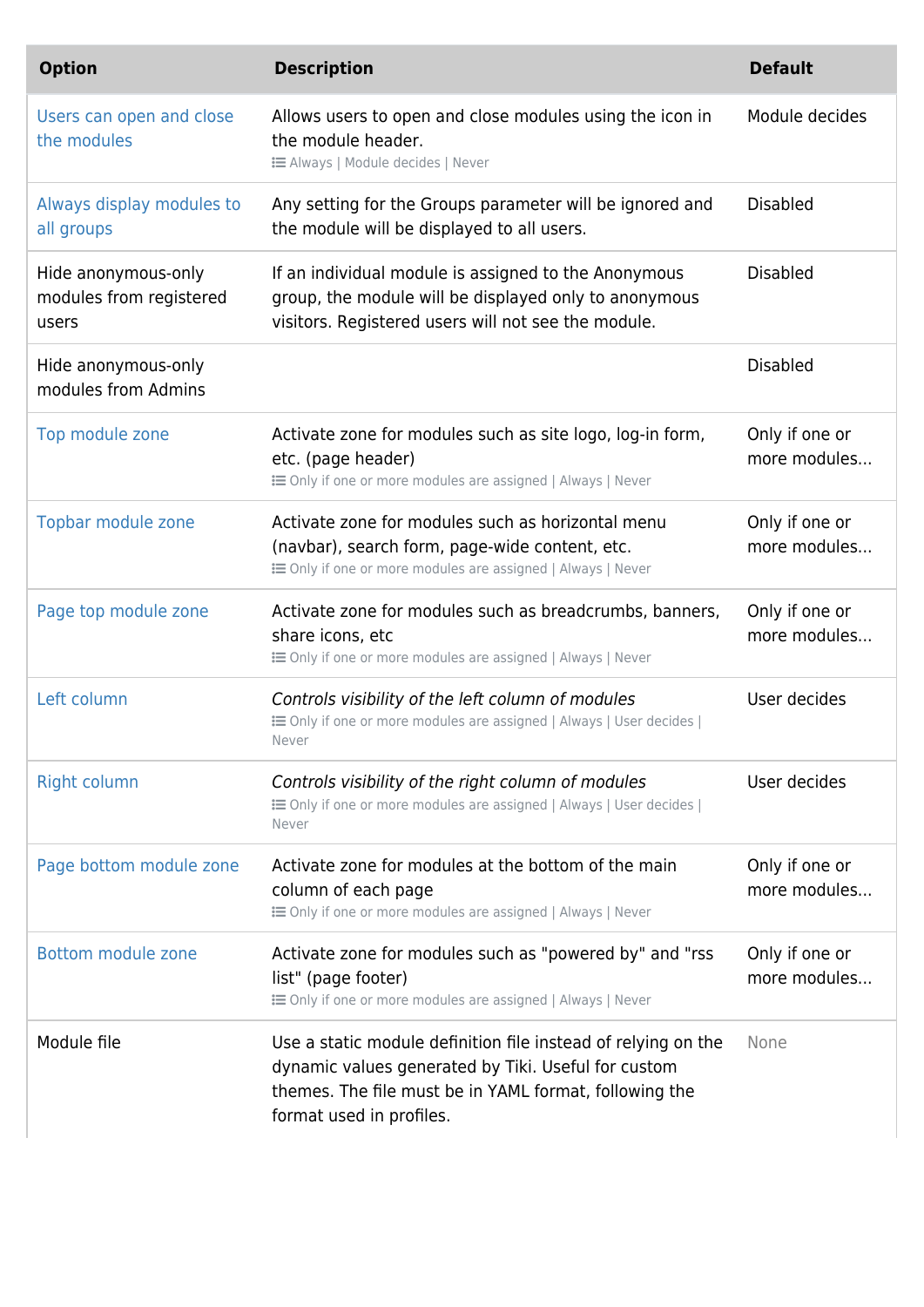| <b>Option</b>                                           | <b>Description</b>                                                                                                                                                                                         | <b>Default</b>                 |
|---------------------------------------------------------|------------------------------------------------------------------------------------------------------------------------------------------------------------------------------------------------------------|--------------------------------|
| Users can open and close<br>the modules                 | Allows users to open and close modules using the icon in<br>the module header.<br><b>EXEC</b> Always   Module decides   Never                                                                              | Module decides                 |
| Always display modules to<br>all groups                 | Any setting for the Groups parameter will be ignored and<br>the module will be displayed to all users.                                                                                                     | <b>Disabled</b>                |
| Hide anonymous-only<br>modules from registered<br>users | If an individual module is assigned to the Anonymous<br>group, the module will be displayed only to anonymous<br>visitors. Registered users will not see the module.                                       | <b>Disabled</b>                |
| Hide anonymous-only<br>modules from Admins              |                                                                                                                                                                                                            | <b>Disabled</b>                |
| Top module zone                                         | Activate zone for modules such as site logo, log-in form,<br>etc. (page header)<br><b>i</b> Only if one or more modules are assigned   Always   Never                                                      | Only if one or<br>more modules |
| Topbar module zone                                      | Activate zone for modules such as horizontal menu<br>(navbar), search form, page-wide content, etc.<br><b>EXECUTE:</b> Only if one or more modules are assigned   Always   Never                           | Only if one or<br>more modules |
| Page top module zone                                    | Activate zone for modules such as breadcrumbs, banners,<br>share icons, etc<br>: i Only if one or more modules are assigned   Always   Never                                                               | Only if one or<br>more modules |
| Left column                                             | Controls visibility of the left column of modules<br>E Only if one or more modules are assigned   Always   User decides  <br>Never                                                                         | User decides                   |
| <b>Right column</b>                                     | Controls visibility of the right column of modules<br>E Only if one or more modules are assigned   Always   User decides  <br>Never                                                                        | User decides                   |
| Page bottom module zone                                 | Activate zone for modules at the bottom of the main<br>column of each page<br><b>EXECUTE:</b> Only if one or more modules are assigned   Always   Never                                                    | Only if one or<br>more modules |
| Bottom module zone                                      | Activate zone for modules such as "powered by" and "rss<br>list" (page footer)<br><b>EXECUTE:</b> Only if one or more modules are assigned   Always   Never                                                | Only if one or<br>more modules |
| Module file                                             | Use a static module definition file instead of relying on the<br>dynamic values generated by Tiki. Useful for custom<br>themes. The file must be in YAML format, following the<br>format used in profiles. | None                           |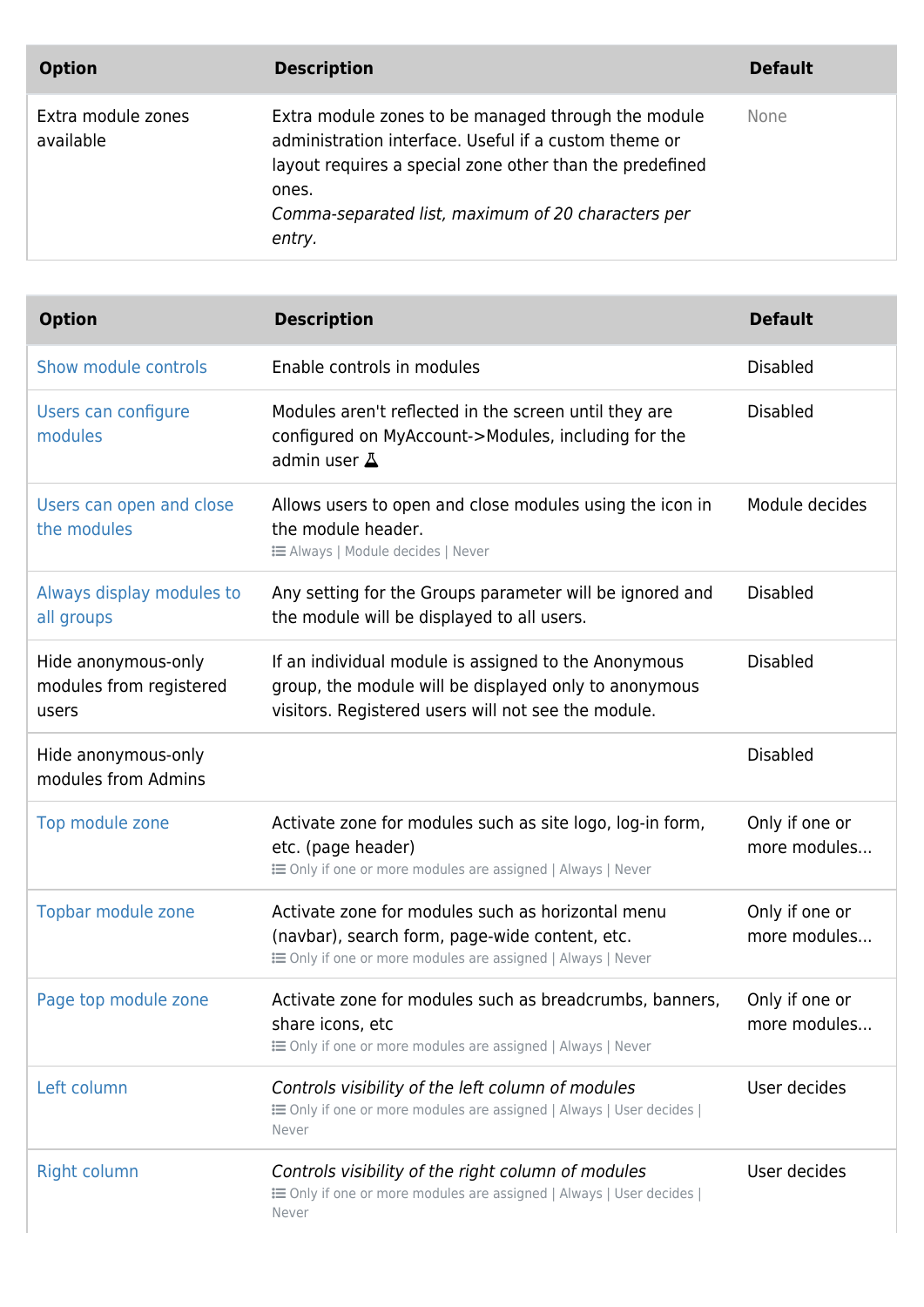| <b>Option</b>                   | <b>Description</b>                                                                                                                                                                                                                                | <b>Default</b> |
|---------------------------------|---------------------------------------------------------------------------------------------------------------------------------------------------------------------------------------------------------------------------------------------------|----------------|
| Extra module zones<br>available | Extra module zones to be managed through the module<br>administration interface. Useful if a custom theme or<br>layout requires a special zone other than the predefined<br>ones.<br>Comma-separated list, maximum of 20 characters per<br>entry. | None           |

| <b>Option</b>                                           | <b>Description</b>                                                                                                                                                   | <b>Default</b>                 |
|---------------------------------------------------------|----------------------------------------------------------------------------------------------------------------------------------------------------------------------|--------------------------------|
| Show module controls                                    | Enable controls in modules                                                                                                                                           | <b>Disabled</b>                |
| Users can configure<br>modules                          | Modules aren't reflected in the screen until they are<br>configured on MyAccount->Modules, including for the<br>admin user $\Delta$                                  | <b>Disabled</b>                |
| Users can open and close<br>the modules                 | Allows users to open and close modules using the icon in<br>the module header.<br><b>i</b> Always   Module decides   Never                                           | Module decides                 |
| Always display modules to<br>all groups                 | Any setting for the Groups parameter will be ignored and<br>the module will be displayed to all users.                                                               | <b>Disabled</b>                |
| Hide anonymous-only<br>modules from registered<br>users | If an individual module is assigned to the Anonymous<br>group, the module will be displayed only to anonymous<br>visitors. Registered users will not see the module. | <b>Disabled</b>                |
| Hide anonymous-only<br>modules from Admins              |                                                                                                                                                                      | <b>Disabled</b>                |
| Top module zone                                         | Activate zone for modules such as site logo, log-in form,<br>etc. (page header)<br><b>i</b> Only if one or more modules are assigned   Always   Never                | Only if one or<br>more modules |
| Topbar module zone                                      | Activate zone for modules such as horizontal menu<br>(navbar), search form, page-wide content, etc.<br>E Only if one or more modules are assigned   Always   Never   | Only if one or<br>more modules |
| Page top module zone                                    | Activate zone for modules such as breadcrumbs, banners,<br>share icons, etc<br>E Only if one or more modules are assigned   Always   Never                           | Only if one or<br>more modules |
| Left column                                             | Controls visibility of the left column of modules<br>E Only if one or more modules are assigned   Always   User decides  <br>Never                                   | User decides                   |
| <b>Right column</b>                                     | Controls visibility of the right column of modules<br>E Only if one or more modules are assigned   Always   User decides  <br>Never                                  | User decides                   |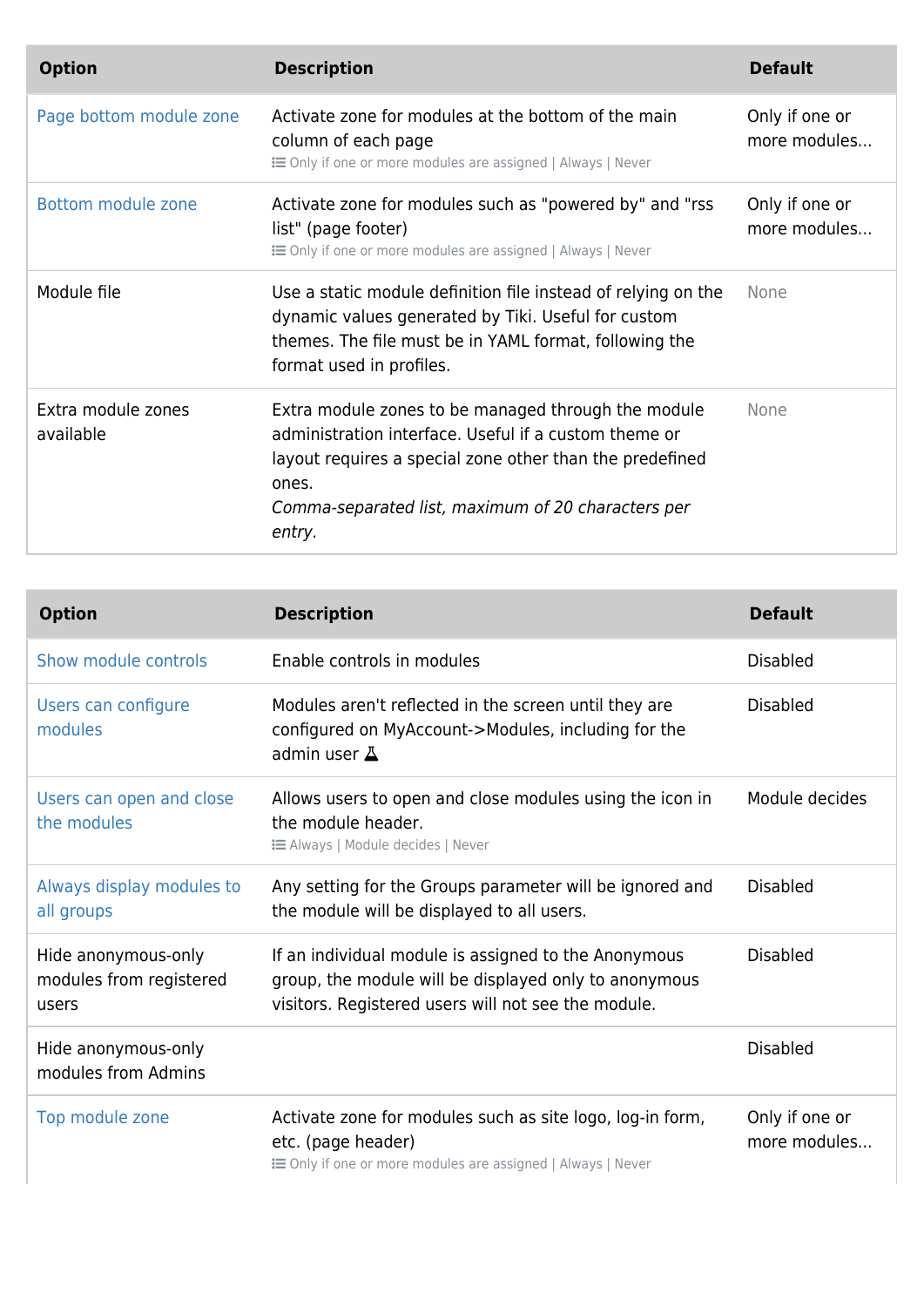| <b>Option</b>                   | <b>Description</b>                                                                                                                                                                                                                                | <b>Default</b>                 |
|---------------------------------|---------------------------------------------------------------------------------------------------------------------------------------------------------------------------------------------------------------------------------------------------|--------------------------------|
| Page bottom module zone         | Activate zone for modules at the bottom of the main<br>column of each page<br><b>EXECUTE:</b> Only if one or more modules are assigned   Always   Never                                                                                           | Only if one or<br>more modules |
| Bottom module zone              | Activate zone for modules such as "powered by" and "rss<br>list" (page footer)<br><b>EXECUTE:</b> Only if one or more modules are assigned   Always   Never                                                                                       | Only if one or<br>more modules |
| Module file                     | Use a static module definition file instead of relying on the<br>dynamic values generated by Tiki. Useful for custom<br>themes. The file must be in YAML format, following the<br>format used in profiles.                                        | <b>None</b>                    |
| Extra module zones<br>available | Extra module zones to be managed through the module<br>administration interface. Useful if a custom theme or<br>layout requires a special zone other than the predefined<br>ones.<br>Comma-separated list, maximum of 20 characters per<br>entry. | <b>None</b>                    |

| <b>Option</b>                                           | <b>Description</b>                                                                                                                                                   | <b>Default</b>                 |
|---------------------------------------------------------|----------------------------------------------------------------------------------------------------------------------------------------------------------------------|--------------------------------|
| Show module controls                                    | Enable controls in modules                                                                                                                                           | <b>Disabled</b>                |
| Users can configure<br>modules                          | Modules aren't reflected in the screen until they are<br>configured on MyAccount->Modules, including for the<br>admin user $\Delta$                                  | <b>Disabled</b>                |
| Users can open and close<br>the modules                 | Allows users to open and close modules using the icon in<br>the module header.<br><b>i≡</b> Always   Module decides   Never                                          | Module decides                 |
| Always display modules to<br>all groups                 | Any setting for the Groups parameter will be ignored and<br>the module will be displayed to all users.                                                               | <b>Disabled</b>                |
| Hide anonymous-only<br>modules from registered<br>users | If an individual module is assigned to the Anonymous<br>group, the module will be displayed only to anonymous<br>visitors. Registered users will not see the module. | <b>Disabled</b>                |
| Hide anonymous-only<br>modules from Admins              |                                                                                                                                                                      | <b>Disabled</b>                |
| Top module zone                                         | Activate zone for modules such as site logo, log-in form,<br>etc. (page header)<br>E Only if one or more modules are assigned   Always   Never                       | Only if one or<br>more modules |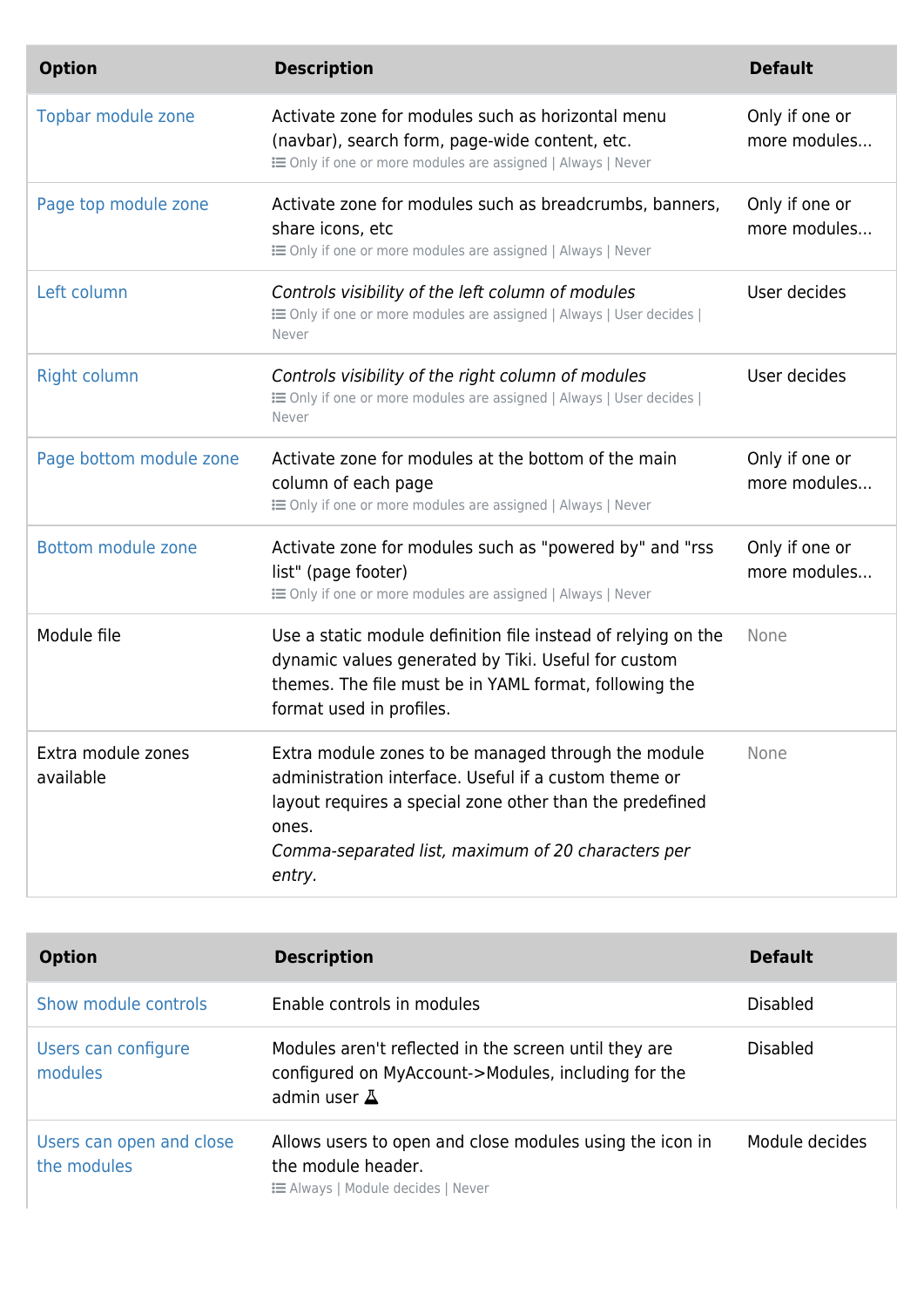| <b>Option</b>                   | <b>Description</b>                                                                                                                                                                                                                                | <b>Default</b>                 |
|---------------------------------|---------------------------------------------------------------------------------------------------------------------------------------------------------------------------------------------------------------------------------------------------|--------------------------------|
| Topbar module zone              | Activate zone for modules such as horizontal menu<br>(navbar), search form, page-wide content, etc.<br>E Only if one or more modules are assigned   Always   Never                                                                                | Only if one or<br>more modules |
| Page top module zone            | Activate zone for modules such as breadcrumbs, banners,<br>share icons, etc<br>E Only if one or more modules are assigned   Always   Never                                                                                                        | Only if one or<br>more modules |
| Left column                     | Controls visibility of the left column of modules<br>E Only if one or more modules are assigned   Always   User decides  <br>Never                                                                                                                | User decides                   |
| <b>Right column</b>             | Controls visibility of the right column of modules<br>E Only if one or more modules are assigned   Always   User decides  <br>Never                                                                                                               | User decides                   |
| Page bottom module zone         | Activate zone for modules at the bottom of the main<br>column of each page<br>E Only if one or more modules are assigned   Always   Never                                                                                                         | Only if one or<br>more modules |
| Bottom module zone              | Activate zone for modules such as "powered by" and "rss<br>list" (page footer)<br>E Only if one or more modules are assigned   Always   Never                                                                                                     | Only if one or<br>more modules |
| Module file                     | Use a static module definition file instead of relying on the<br>dynamic values generated by Tiki. Useful for custom<br>themes. The file must be in YAML format, following the<br>format used in profiles.                                        | None                           |
| Extra module zones<br>available | Extra module zones to be managed through the module<br>administration interface. Useful if a custom theme or<br>layout requires a special zone other than the predefined<br>ones.<br>Comma-separated list, maximum of 20 characters per<br>entry. | None                           |

| <b>Option</b>                           | <b>Description</b>                                                                                                                  | <b>Default</b>  |
|-----------------------------------------|-------------------------------------------------------------------------------------------------------------------------------------|-----------------|
| Show module controls                    | Enable controls in modules                                                                                                          | <b>Disabled</b> |
| Users can configure<br>modules          | Modules aren't reflected in the screen until they are<br>configured on MyAccount->Modules, including for the<br>admin user $\Delta$ | <b>Disabled</b> |
| Users can open and close<br>the modules | Allows users to open and close modules using the icon in<br>the module header.<br><b>E</b> Always   Module decides   Never          | Module decides  |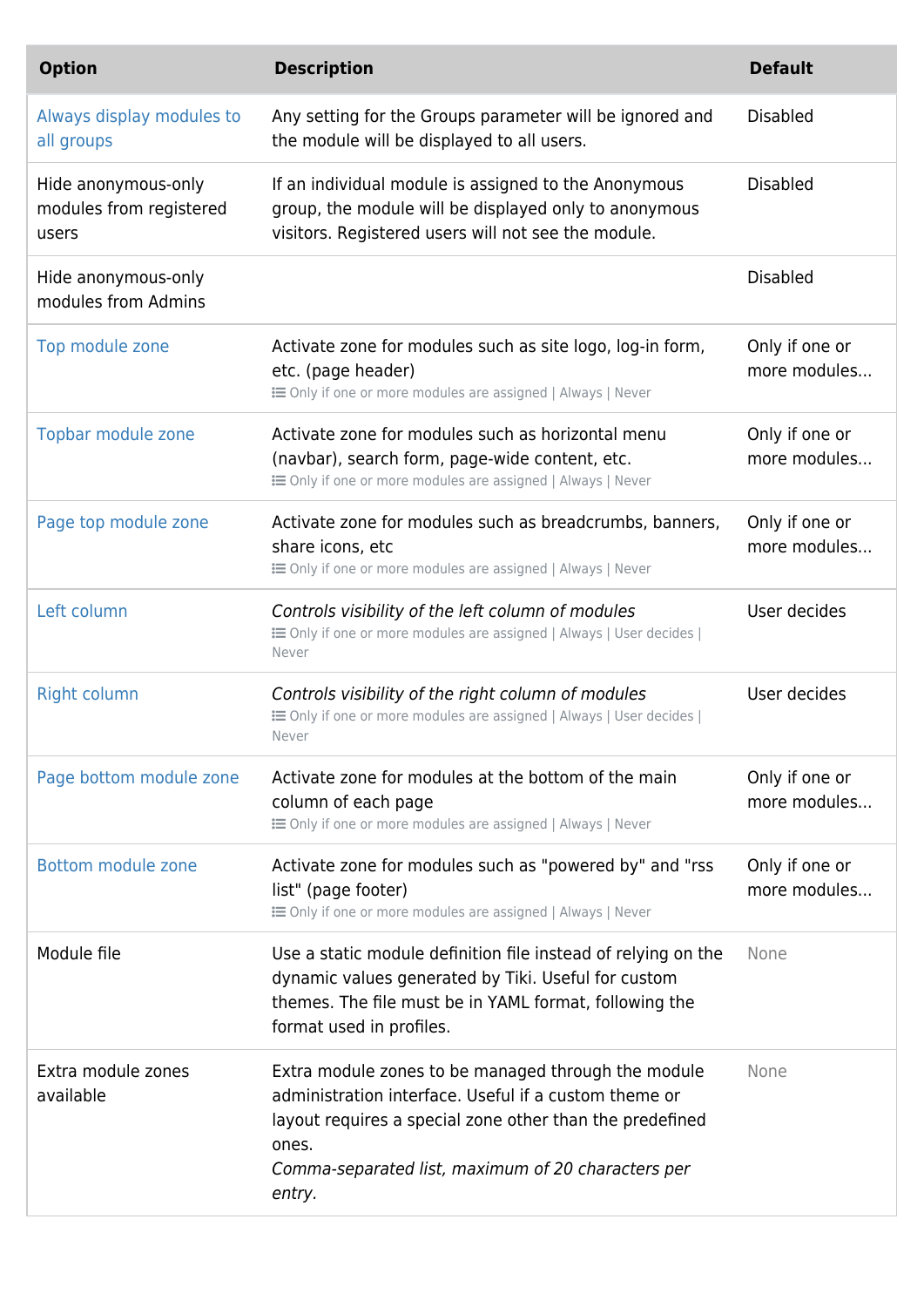| <b>Option</b>                                           | <b>Description</b>                                                                                                                                                                                                                                | <b>Default</b>                 |
|---------------------------------------------------------|---------------------------------------------------------------------------------------------------------------------------------------------------------------------------------------------------------------------------------------------------|--------------------------------|
| Always display modules to<br>all groups                 | Any setting for the Groups parameter will be ignored and<br>the module will be displayed to all users.                                                                                                                                            | <b>Disabled</b>                |
| Hide anonymous-only<br>modules from registered<br>users | If an individual module is assigned to the Anonymous<br>group, the module will be displayed only to anonymous<br>visitors. Registered users will not see the module.                                                                              | <b>Disabled</b>                |
| Hide anonymous-only<br>modules from Admins              |                                                                                                                                                                                                                                                   | <b>Disabled</b>                |
| Top module zone                                         | Activate zone for modules such as site logo, log-in form,<br>etc. (page header)<br>E Only if one or more modules are assigned   Always   Never                                                                                                    | Only if one or<br>more modules |
| Topbar module zone                                      | Activate zone for modules such as horizontal menu<br>(navbar), search form, page-wide content, etc.<br>E Only if one or more modules are assigned   Always   Never                                                                                | Only if one or<br>more modules |
| Page top module zone                                    | Activate zone for modules such as breadcrumbs, banners,<br>share icons, etc<br>E Only if one or more modules are assigned   Always   Never                                                                                                        | Only if one or<br>more modules |
| Left column                                             | Controls visibility of the left column of modules<br>E Only if one or more modules are assigned   Always   User decides  <br>Never                                                                                                                | User decides                   |
| <b>Right column</b>                                     | Controls visibility of the right column of modules<br>E Only if one or more modules are assigned   Always   User decides  <br>Never                                                                                                               | User decides                   |
| Page bottom module zone                                 | Activate zone for modules at the bottom of the main<br>column of each page<br>E Only if one or more modules are assigned   Always   Never                                                                                                         | Only if one or<br>more modules |
| Bottom module zone                                      | Activate zone for modules such as "powered by" and "rss<br>list" (page footer)<br>E Only if one or more modules are assigned   Always   Never                                                                                                     | Only if one or<br>more modules |
| Module file                                             | Use a static module definition file instead of relying on the<br>dynamic values generated by Tiki. Useful for custom<br>themes. The file must be in YAML format, following the<br>format used in profiles.                                        | None                           |
| Extra module zones<br>available                         | Extra module zones to be managed through the module<br>administration interface. Useful if a custom theme or<br>layout requires a special zone other than the predefined<br>ones.<br>Comma-separated list, maximum of 20 characters per<br>entry. | None                           |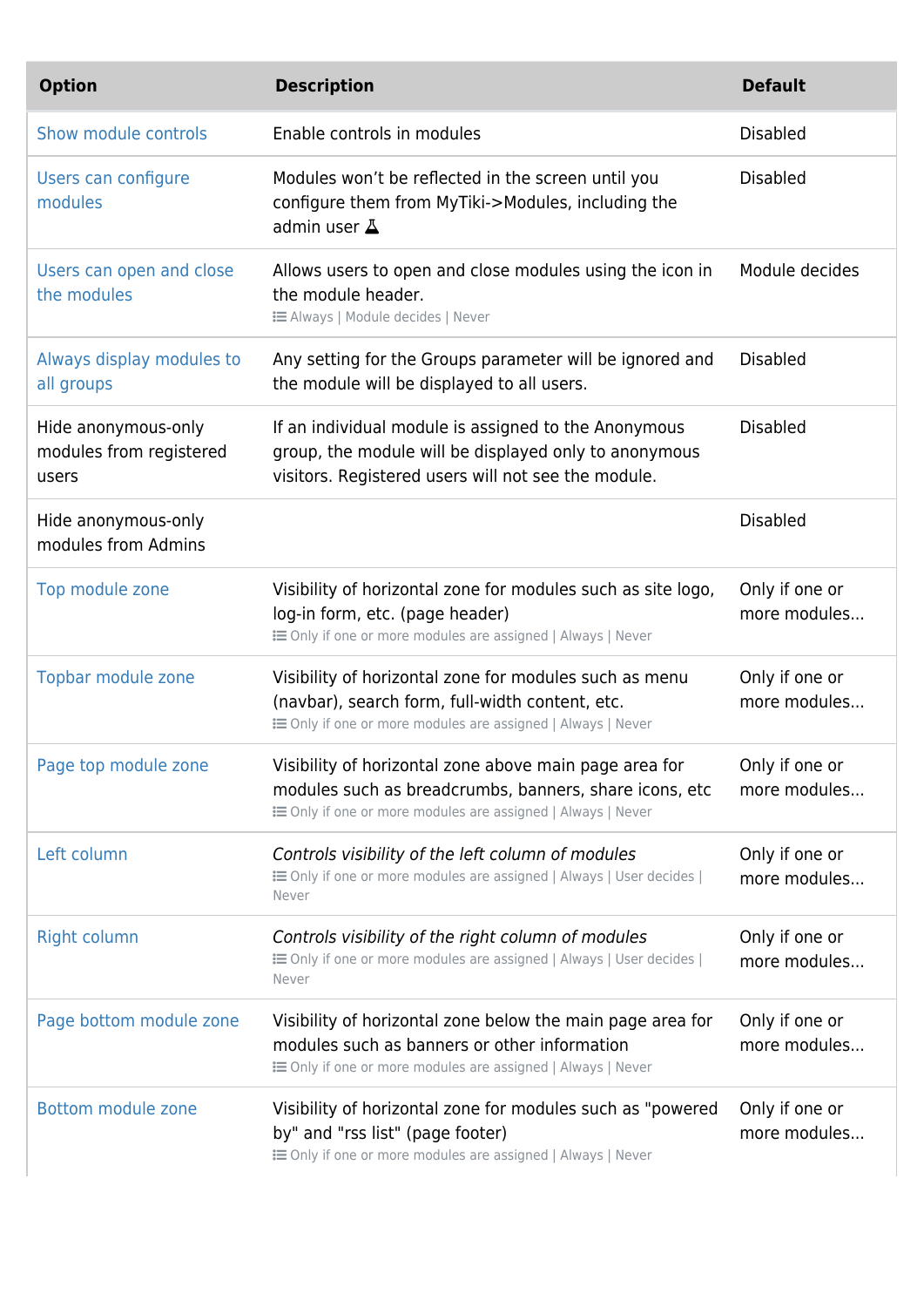| <b>Option</b>                                           | <b>Description</b>                                                                                                                                                                     | <b>Default</b>                 |
|---------------------------------------------------------|----------------------------------------------------------------------------------------------------------------------------------------------------------------------------------------|--------------------------------|
| Show module controls                                    | Enable controls in modules                                                                                                                                                             | <b>Disabled</b>                |
| Users can configure<br>modules                          | Modules won't be reflected in the screen until you<br>configure them from MyTiki->Modules, including the<br>admin user $\Delta$                                                        | <b>Disabled</b>                |
| Users can open and close<br>the modules                 | Allows users to open and close modules using the icon in<br>the module header.<br><b>EXEC</b> Always   Module decides   Never                                                          | Module decides                 |
| Always display modules to<br>all groups                 | Any setting for the Groups parameter will be ignored and<br>the module will be displayed to all users.                                                                                 | <b>Disabled</b>                |
| Hide anonymous-only<br>modules from registered<br>users | If an individual module is assigned to the Anonymous<br>group, the module will be displayed only to anonymous<br>visitors. Registered users will not see the module.                   | <b>Disabled</b>                |
| Hide anonymous-only<br>modules from Admins              |                                                                                                                                                                                        | <b>Disabled</b>                |
| Top module zone                                         | Visibility of horizontal zone for modules such as site logo,<br>log-in form, etc. (page header)<br>: i Only if one or more modules are assigned   Always   Never                       | Only if one or<br>more modules |
| Topbar module zone                                      | Visibility of horizontal zone for modules such as menu<br>(navbar), search form, full-width content, etc.<br><b>i</b> Only if one or more modules are assigned   Always   Never        | Only if one or<br>more modules |
| Page top module zone                                    | Visibility of horizontal zone above main page area for<br>modules such as breadcrumbs, banners, share icons, etc<br><b>E</b> Only if one or more modules are assigned   Always   Never | Only if one or<br>more modules |
| Left column                                             | Controls visibility of the left column of modules<br>E Only if one or more modules are assigned   Always   User decides  <br>Never                                                     | Only if one or<br>more modules |
| <b>Right column</b>                                     | Controls visibility of the right column of modules<br>E Only if one or more modules are assigned   Always   User decides  <br>Never                                                    | Only if one or<br>more modules |
| Page bottom module zone                                 | Visibility of horizontal zone below the main page area for<br>modules such as banners or other information<br>: i Only if one or more modules are assigned   Always   Never            | Only if one or<br>more modules |
| <b>Bottom module zone</b>                               | Visibility of horizontal zone for modules such as "powered<br>by" and "rss list" (page footer)<br><b>EXECUTE:</b> Only if one or more modules are assigned   Always   Never            | Only if one or<br>more modules |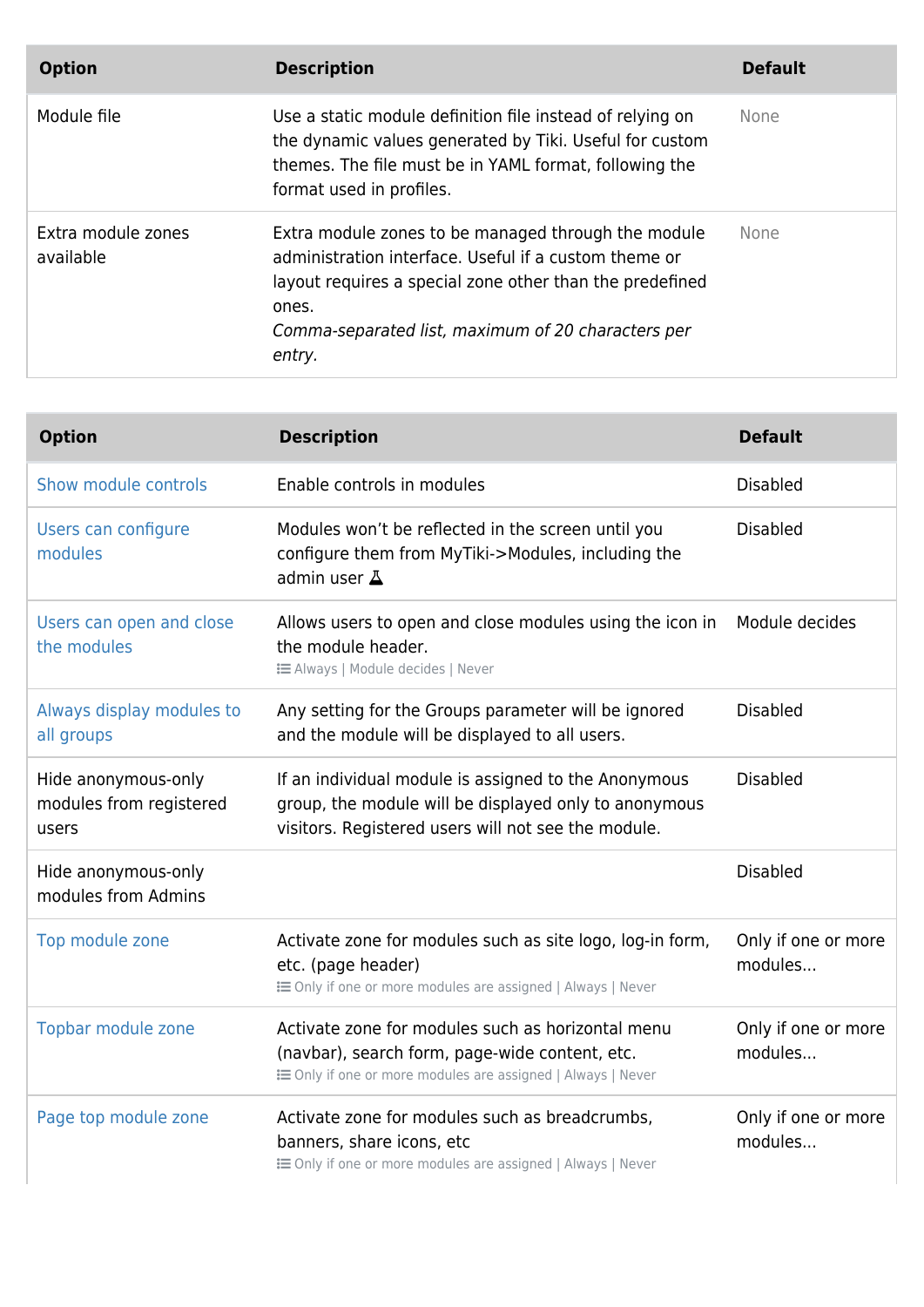| <b>Option</b>                   | <b>Description</b>                                                                                                                                                                                                                                | <b>Default</b> |
|---------------------------------|---------------------------------------------------------------------------------------------------------------------------------------------------------------------------------------------------------------------------------------------------|----------------|
| Module file                     | Use a static module definition file instead of relying on<br>the dynamic values generated by Tiki. Useful for custom<br>themes. The file must be in YAML format, following the<br>format used in profiles.                                        | <b>None</b>    |
| Extra module zones<br>available | Extra module zones to be managed through the module<br>administration interface. Useful if a custom theme or<br>layout requires a special zone other than the predefined<br>ones.<br>Comma-separated list, maximum of 20 characters per<br>entry. | <b>None</b>    |

| <b>Option</b>                                           | <b>Description</b>                                                                                                                                                   | <b>Default</b>                 |
|---------------------------------------------------------|----------------------------------------------------------------------------------------------------------------------------------------------------------------------|--------------------------------|
| Show module controls                                    | Enable controls in modules                                                                                                                                           | <b>Disabled</b>                |
| Users can configure<br>modules                          | Modules won't be reflected in the screen until you<br>configure them from MyTiki->Modules, including the<br>admin user A                                             | <b>Disabled</b>                |
| Users can open and close<br>the modules                 | Allows users to open and close modules using the icon in<br>the module header.<br><b>E Always   Module decides   Never</b>                                           | Module decides                 |
| Always display modules to<br>all groups                 | Any setting for the Groups parameter will be ignored<br>and the module will be displayed to all users.                                                               | <b>Disabled</b>                |
| Hide anonymous-only<br>modules from registered<br>users | If an individual module is assigned to the Anonymous<br>group, the module will be displayed only to anonymous<br>visitors. Registered users will not see the module. | <b>Disabled</b>                |
| Hide anonymous-only<br>modules from Admins              |                                                                                                                                                                      | <b>Disabled</b>                |
| Top module zone                                         | Activate zone for modules such as site logo, log-in form,<br>etc. (page header)<br>E Only if one or more modules are assigned   Always   Never                       | Only if one or more<br>modules |
| Topbar module zone                                      | Activate zone for modules such as horizontal menu<br>(navbar), search form, page-wide content, etc.<br>E Only if one or more modules are assigned   Always   Never   | Only if one or more<br>modules |
| Page top module zone                                    | Activate zone for modules such as breadcrumbs,<br>banners, share icons, etc<br>E Only if one or more modules are assigned   Always   Never                           | Only if one or more<br>modules |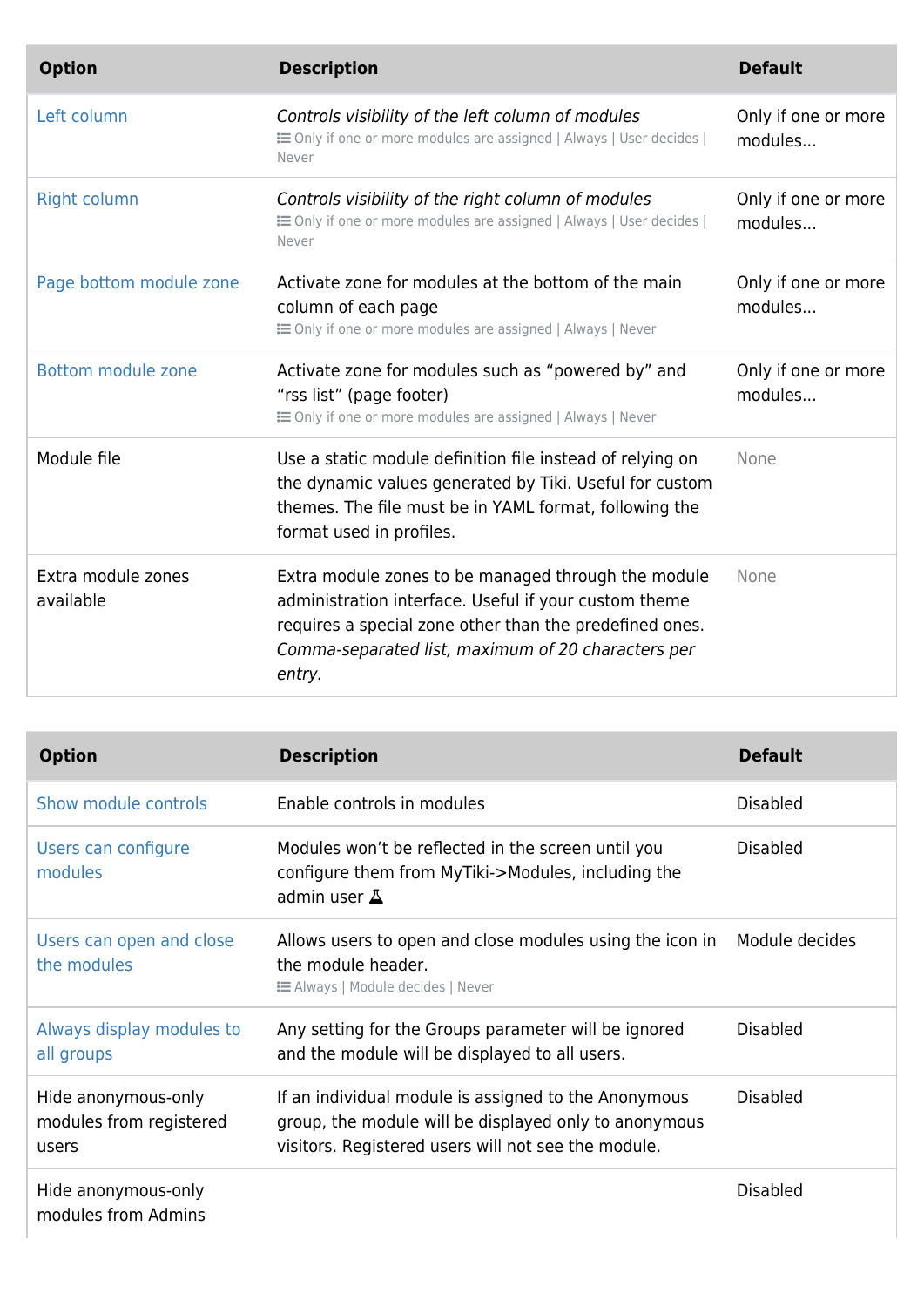| <b>Option</b>                   | <b>Description</b>                                                                                                                                                                                                                      | <b>Default</b>                 |
|---------------------------------|-----------------------------------------------------------------------------------------------------------------------------------------------------------------------------------------------------------------------------------------|--------------------------------|
| Left column                     | Controls visibility of the left column of modules<br>E Only if one or more modules are assigned   Always   User decides  <br>Never                                                                                                      | Only if one or more<br>modules |
| <b>Right column</b>             | Controls visibility of the right column of modules<br>E Only if one or more modules are assigned   Always   User decides  <br>Never                                                                                                     | Only if one or more<br>modules |
| Page bottom module zone         | Activate zone for modules at the bottom of the main<br>column of each page<br>: i Only if one or more modules are assigned   Always   Never                                                                                             | Only if one or more<br>modules |
| Bottom module zone              | Activate zone for modules such as "powered by" and<br>"rss list" (page footer)<br><b>EXECUTE:</b> Only if one or more modules are assigned   Always   Never                                                                             | Only if one or more<br>modules |
| Module file                     | Use a static module definition file instead of relying on<br>the dynamic values generated by Tiki. Useful for custom<br>themes. The file must be in YAML format, following the<br>format used in profiles.                              | None                           |
| Extra module zones<br>available | Extra module zones to be managed through the module<br>administration interface. Useful if your custom theme<br>requires a special zone other than the predefined ones.<br>Comma-separated list, maximum of 20 characters per<br>entry. | None                           |

| <b>Option</b>                                           | <b>Description</b>                                                                                                                                                   | <b>Default</b>  |
|---------------------------------------------------------|----------------------------------------------------------------------------------------------------------------------------------------------------------------------|-----------------|
| Show module controls                                    | Enable controls in modules                                                                                                                                           | <b>Disabled</b> |
| Users can configure<br>modules                          | Modules won't be reflected in the screen until you<br>configure them from MyTiki->Modules, including the<br>admin user $\Delta$                                      | <b>Disabled</b> |
| Users can open and close<br>the modules                 | Allows users to open and close modules using the icon in<br>the module header.<br><b>i</b> Always   Module decides   Never                                           | Module decides  |
| Always display modules to<br>all groups                 | Any setting for the Groups parameter will be ignored<br>and the module will be displayed to all users.                                                               | <b>Disabled</b> |
| Hide anonymous-only<br>modules from registered<br>users | If an individual module is assigned to the Anonymous<br>group, the module will be displayed only to anonymous<br>visitors. Registered users will not see the module. | <b>Disabled</b> |
| Hide anonymous-only<br>modules from Admins              |                                                                                                                                                                      | <b>Disabled</b> |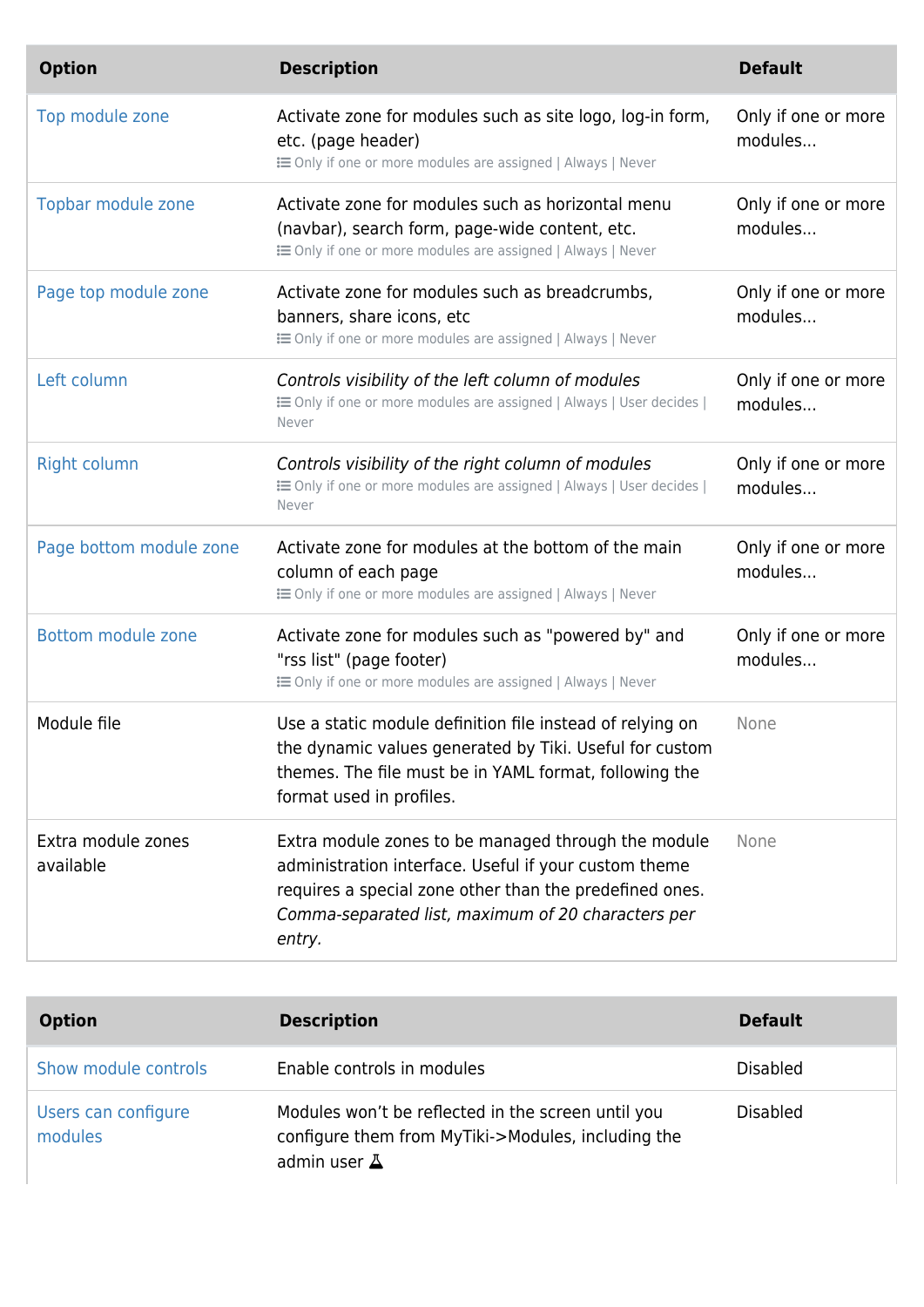| <b>Option</b>                   | <b>Description</b>                                                                                                                                                                                                                      | <b>Default</b>                 |
|---------------------------------|-----------------------------------------------------------------------------------------------------------------------------------------------------------------------------------------------------------------------------------------|--------------------------------|
| Top module zone                 | Activate zone for modules such as site logo, log-in form,<br>etc. (page header)<br><b>E</b> Only if one or more modules are assigned   Always   Never                                                                                   | Only if one or more<br>modules |
| Topbar module zone              | Activate zone for modules such as horizontal menu<br>(navbar), search form, page-wide content, etc.<br><b>EXECUTE:</b> Only if one or more modules are assigned   Always   Never                                                        | Only if one or more<br>modules |
| Page top module zone            | Activate zone for modules such as breadcrumbs,<br>banners, share icons, etc<br><b>E</b> Only if one or more modules are assigned   Always   Never                                                                                       | Only if one or more<br>modules |
| Left column                     | Controls visibility of the left column of modules<br>E Only if one or more modules are assigned   Always   User decides  <br>Never                                                                                                      | Only if one or more<br>modules |
| <b>Right column</b>             | Controls visibility of the right column of modules<br>E Only if one or more modules are assigned   Always   User decides  <br>Never                                                                                                     | Only if one or more<br>modules |
| Page bottom module zone         | Activate zone for modules at the bottom of the main<br>column of each page<br>E Only if one or more modules are assigned   Always   Never                                                                                               | Only if one or more<br>modules |
| <b>Bottom module zone</b>       | Activate zone for modules such as "powered by" and<br>"rss list" (page footer)<br>E Only if one or more modules are assigned   Always   Never                                                                                           | Only if one or more<br>modules |
| Module file                     | Use a static module definition file instead of relying on<br>the dynamic values generated by Tiki. Useful for custom<br>themes. The file must be in YAML format, following the<br>format used in profiles.                              | None                           |
| Extra module zones<br>available | Extra module zones to be managed through the module<br>administration interface. Useful if your custom theme<br>requires a special zone other than the predefined ones.<br>Comma-separated list, maximum of 20 characters per<br>entry. | None                           |

| <b>Option</b>                  | <b>Description</b>                                                                                                              | <b>Default</b>  |
|--------------------------------|---------------------------------------------------------------------------------------------------------------------------------|-----------------|
| Show module controls           | Enable controls in modules                                                                                                      | <b>Disabled</b> |
| Users can configure<br>modules | Modules won't be reflected in the screen until you<br>configure them from MyTiki->Modules, including the<br>admin user $\Delta$ | <b>Disabled</b> |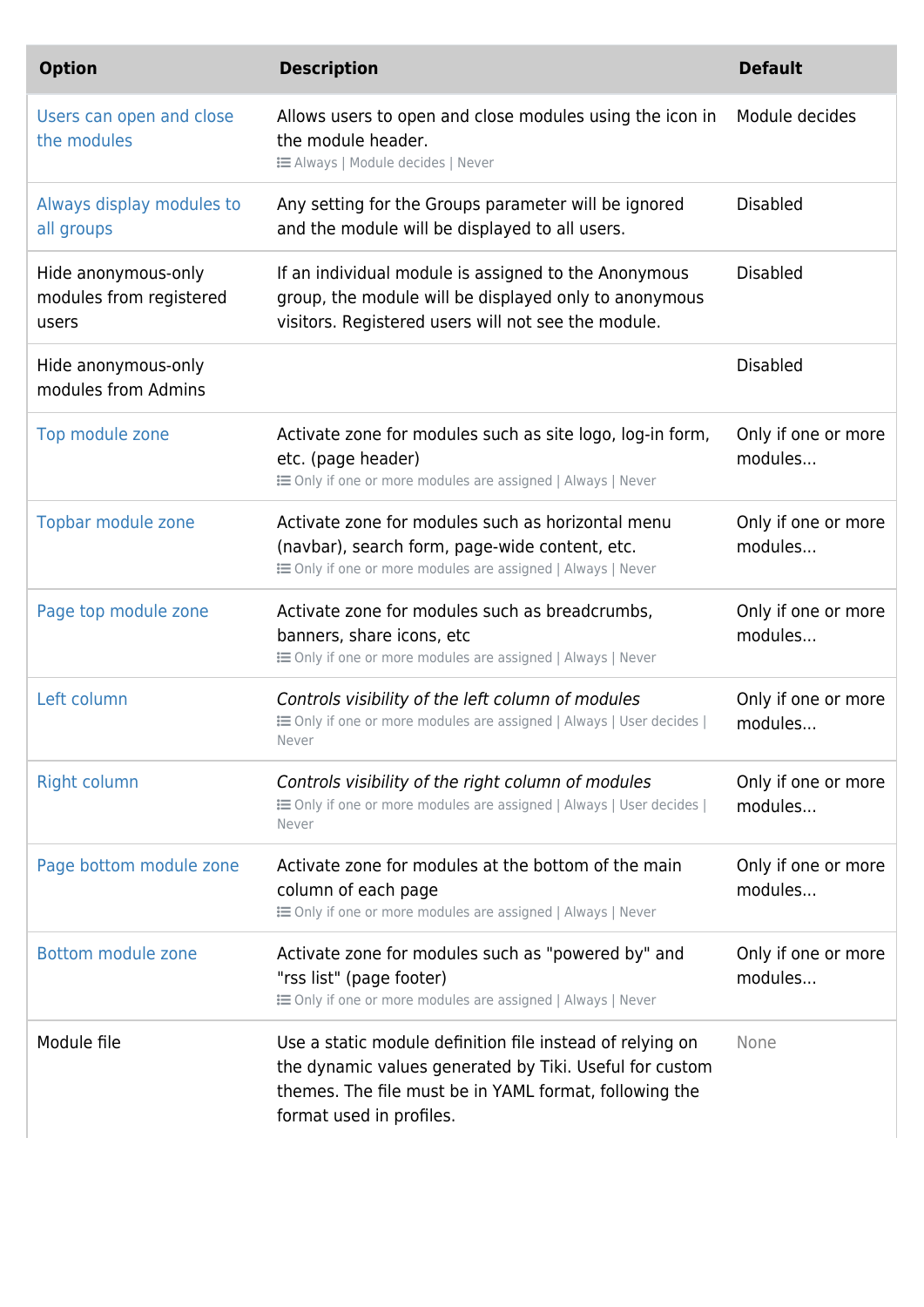| <b>Option</b>                                           | <b>Description</b>                                                                                                                                                                                         | <b>Default</b>                 |
|---------------------------------------------------------|------------------------------------------------------------------------------------------------------------------------------------------------------------------------------------------------------------|--------------------------------|
| Users can open and close<br>the modules                 | Allows users to open and close modules using the icon in<br>the module header.<br><b>EXEC</b> Always   Module decides   Never                                                                              | Module decides                 |
| Always display modules to<br>all groups                 | Any setting for the Groups parameter will be ignored<br>and the module will be displayed to all users.                                                                                                     | <b>Disabled</b>                |
| Hide anonymous-only<br>modules from registered<br>users | If an individual module is assigned to the Anonymous<br>group, the module will be displayed only to anonymous<br>visitors. Registered users will not see the module.                                       | <b>Disabled</b>                |
| Hide anonymous-only<br>modules from Admins              |                                                                                                                                                                                                            | <b>Disabled</b>                |
| Top module zone                                         | Activate zone for modules such as site logo, log-in form,<br>etc. (page header)<br>E Only if one or more modules are assigned   Always   Never                                                             | Only if one or more<br>modules |
| Topbar module zone                                      | Activate zone for modules such as horizontal menu<br>(navbar), search form, page-wide content, etc.<br>E Only if one or more modules are assigned   Always   Never                                         | Only if one or more<br>modules |
| Page top module zone                                    | Activate zone for modules such as breadcrumbs,<br>banners, share icons, etc<br>E Only if one or more modules are assigned   Always   Never                                                                 | Only if one or more<br>modules |
| Left column                                             | Controls visibility of the left column of modules<br>E Only if one or more modules are assigned   Always   User decides  <br>Never                                                                         | Only if one or more<br>modules |
| <b>Right column</b>                                     | Controls visibility of the right column of modules<br>E Only if one or more modules are assigned   Always   User decides  <br>Never                                                                        | Only if one or more<br>modules |
| Page bottom module zone                                 | Activate zone for modules at the bottom of the main<br>column of each page<br><b>EXECUTE:</b> Only if one or more modules are assigned   Always   Never                                                    | Only if one or more<br>modules |
| Bottom module zone                                      | Activate zone for modules such as "powered by" and<br>"rss list" (page footer)<br>E Only if one or more modules are assigned   Always   Never                                                              | Only if one or more<br>modules |
| Module file                                             | Use a static module definition file instead of relying on<br>the dynamic values generated by Tiki. Useful for custom<br>themes. The file must be in YAML format, following the<br>format used in profiles. | None                           |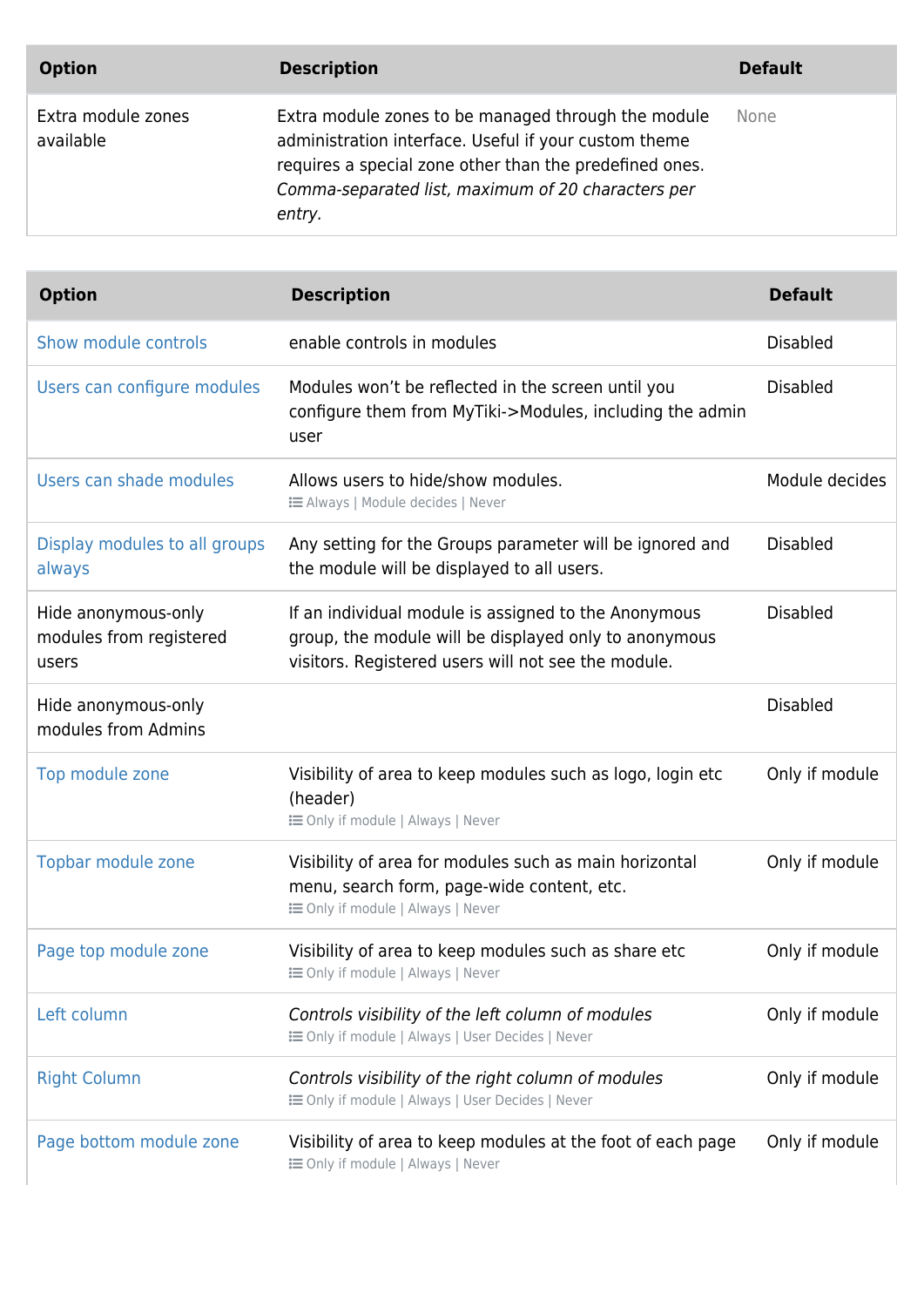| <b>Option</b>                   | <b>Description</b>                                                                                                                                                                                                                      | <b>Default</b> |
|---------------------------------|-----------------------------------------------------------------------------------------------------------------------------------------------------------------------------------------------------------------------------------------|----------------|
| Extra module zones<br>available | Extra module zones to be managed through the module<br>administration interface. Useful if your custom theme<br>requires a special zone other than the predefined ones.<br>Comma-separated list, maximum of 20 characters per<br>entry. | None           |

| <b>Option</b>                                           | <b>Description</b>                                                                                                                                                   | <b>Default</b>  |
|---------------------------------------------------------|----------------------------------------------------------------------------------------------------------------------------------------------------------------------|-----------------|
| Show module controls                                    | enable controls in modules                                                                                                                                           | <b>Disabled</b> |
| Users can configure modules                             | Modules won't be reflected in the screen until you<br>configure them from MyTiki->Modules, including the admin<br>user                                               | <b>Disabled</b> |
| Users can shade modules                                 | Allows users to hide/show modules.<br><b>IE Always   Module decides   Never</b>                                                                                      | Module decides  |
| Display modules to all groups<br>always                 | Any setting for the Groups parameter will be ignored and<br>the module will be displayed to all users.                                                               | <b>Disabled</b> |
| Hide anonymous-only<br>modules from registered<br>users | If an individual module is assigned to the Anonymous<br>group, the module will be displayed only to anonymous<br>visitors. Registered users will not see the module. | <b>Disabled</b> |
| Hide anonymous-only<br>modules from Admins              |                                                                                                                                                                      | <b>Disabled</b> |
| Top module zone                                         | Visibility of area to keep modules such as logo, login etc<br>(header)<br><b>i</b> Only if module   Always   Never                                                   | Only if module  |
| Topbar module zone                                      | Visibility of area for modules such as main horizontal<br>menu, search form, page-wide content, etc.<br><b>i</b> Only if module   Always   Never                     | Only if module  |
| Page top module zone                                    | Visibility of area to keep modules such as share etc<br><b>i</b> in Only if module   Always   Never                                                                  | Only if module  |
| Left column                                             | Controls visibility of the left column of modules<br><b>i</b> Only if module   Always   User Decides   Never                                                         | Only if module  |
| <b>Right Column</b>                                     | Controls visibility of the right column of modules<br><b>IE Only if module   Always   User Decides   Never</b>                                                       | Only if module  |
| Page bottom module zone                                 | Visibility of area to keep modules at the foot of each page<br><b>i</b> Only if module   Always   Never                                                              | Only if module  |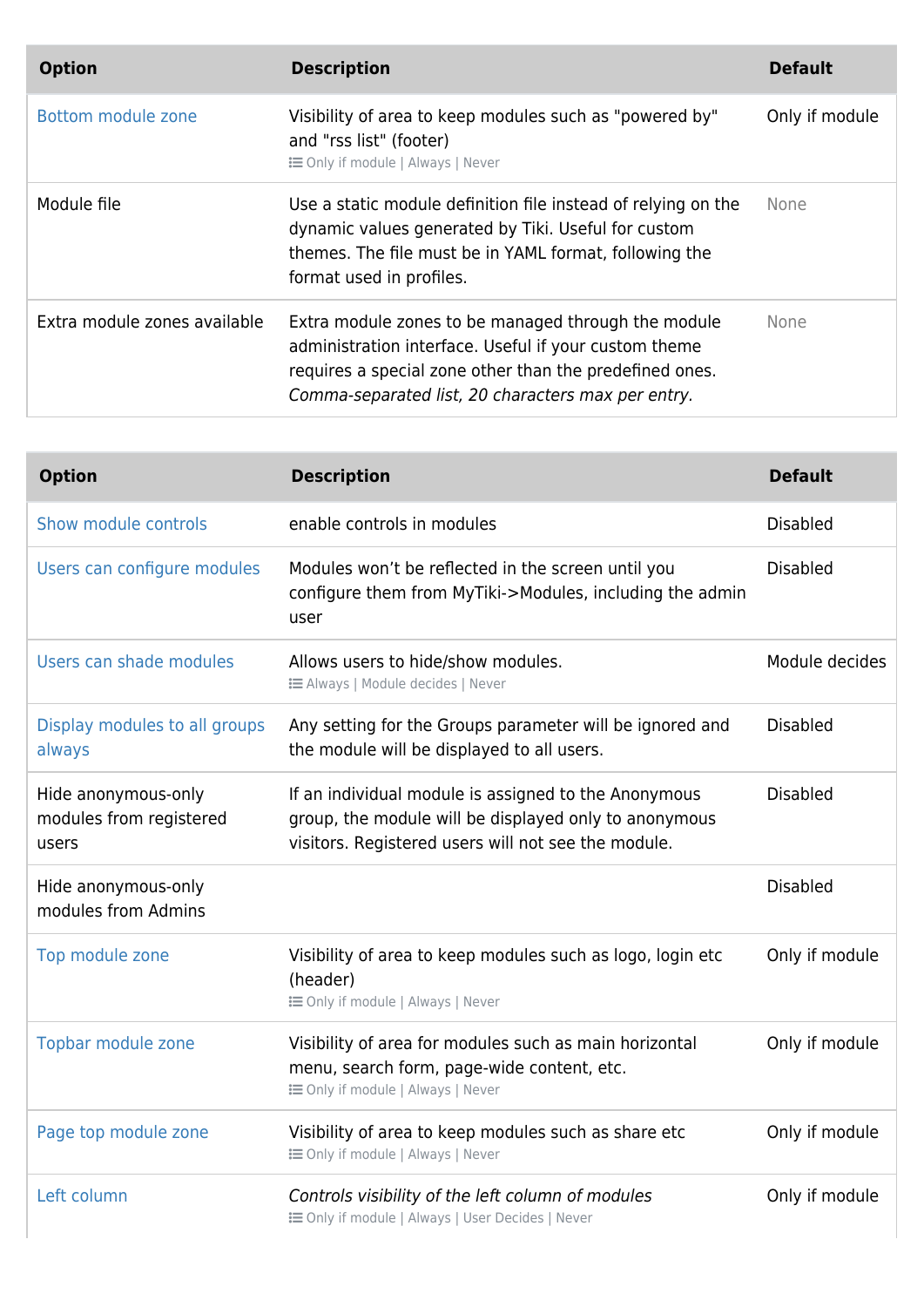| <b>Option</b>                | <b>Description</b>                                                                                                                                                                                                            | <b>Default</b> |
|------------------------------|-------------------------------------------------------------------------------------------------------------------------------------------------------------------------------------------------------------------------------|----------------|
| Bottom module zone           | Visibility of area to keep modules such as "powered by"<br>and "rss list" (footer)<br><b>E</b> Only if module   Always   Never                                                                                                | Only if module |
| Module file                  | Use a static module definition file instead of relying on the<br>dynamic values generated by Tiki. Useful for custom<br>themes. The file must be in YAML format, following the<br>format used in profiles.                    | None           |
| Extra module zones available | Extra module zones to be managed through the module<br>administration interface. Useful if your custom theme<br>requires a special zone other than the predefined ones.<br>Comma-separated list, 20 characters max per entry. | <b>None</b>    |

| <b>Option</b>                                           | <b>Description</b>                                                                                                                                                   | <b>Default</b>  |
|---------------------------------------------------------|----------------------------------------------------------------------------------------------------------------------------------------------------------------------|-----------------|
| Show module controls                                    | enable controls in modules                                                                                                                                           | <b>Disabled</b> |
| Users can configure modules                             | Modules won't be reflected in the screen until you<br>configure them from MyTiki->Modules, including the admin<br>user                                               | <b>Disabled</b> |
| Users can shade modules                                 | Allows users to hide/show modules.<br><b>E</b> Always   Module decides   Never                                                                                       | Module decides  |
| Display modules to all groups<br>always                 | Any setting for the Groups parameter will be ignored and<br>the module will be displayed to all users.                                                               | <b>Disabled</b> |
| Hide anonymous-only<br>modules from registered<br>users | If an individual module is assigned to the Anonymous<br>group, the module will be displayed only to anonymous<br>visitors. Registered users will not see the module. | <b>Disabled</b> |
| Hide anonymous-only<br>modules from Admins              |                                                                                                                                                                      | <b>Disabled</b> |
| Top module zone                                         | Visibility of area to keep modules such as logo, login etc<br>(header)<br><b>IE Only if module   Always   Never</b>                                                  | Only if module  |
| Topbar module zone                                      | Visibility of area for modules such as main horizontal<br>menu, search form, page-wide content, etc.<br><b>i≡</b> Only if module   Always   Never                    | Only if module  |
| Page top module zone                                    | Visibility of area to keep modules such as share etc<br><b>i≡</b> Only if module   Always   Never                                                                    | Only if module  |
| Left column                                             | Controls visibility of the left column of modules<br><b>IE Only if module   Always   User Decides   Never</b>                                                        | Only if module  |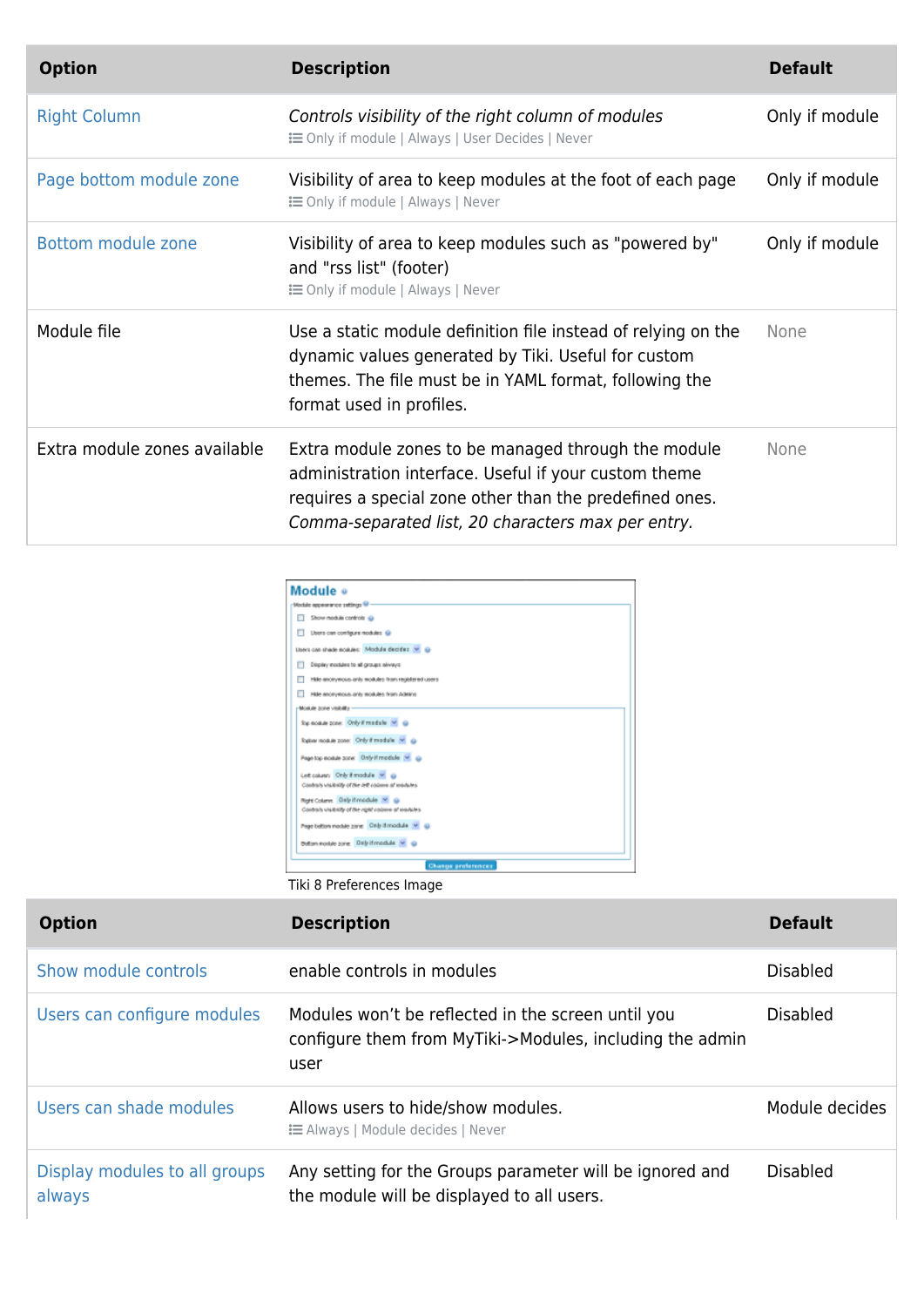| <b>Option</b>                | <b>Description</b>                                                                                                                                                                                                            | <b>Default</b> |
|------------------------------|-------------------------------------------------------------------------------------------------------------------------------------------------------------------------------------------------------------------------------|----------------|
| <b>Right Column</b>          | Controls visibility of the right column of modules<br><b>EXECUTE:</b> Only if module   Always   User Decides   Never                                                                                                          | Only if module |
| Page bottom module zone      | Visibility of area to keep modules at the foot of each page<br><b>i</b> Only if module   Always   Never                                                                                                                       | Only if module |
| Bottom module zone           | Visibility of area to keep modules such as "powered by"<br>and "rss list" (footer)<br><b>i</b> Only if module   Always   Never                                                                                                | Only if module |
| Module file                  | Use a static module definition file instead of relying on the<br>dynamic values generated by Tiki. Useful for custom<br>themes. The file must be in YAML format, following the<br>format used in profiles.                    | <b>None</b>    |
| Extra module zones available | Extra module zones to be managed through the module<br>administration interface. Useful if your custom theme<br>requires a special zone other than the predefined ones.<br>Comma-separated list, 20 characters max per entry. | None           |

| Module o                                                                                  |  |  |  |
|-------------------------------------------------------------------------------------------|--|--|--|
| Module nepearance sattings 1/2                                                            |  |  |  |
| Show module controls @                                                                    |  |  |  |
| Users can configure modules @                                                             |  |  |  |
| Lisers can shade modules: Module decides v @                                              |  |  |  |
| Display modules to all groups aliveys                                                     |  |  |  |
| Hide anonymous-anily modules from registered upers.                                       |  |  |  |
| Hide anonymous anty modules from Adminst                                                  |  |  |  |
| Moskale zone visibility                                                                   |  |  |  |
| Top module zone: Only if module [M] @                                                     |  |  |  |
| Topisar readule zone: Only if module [M]                                                  |  |  |  |
| Page top module zone: Only if module v @                                                  |  |  |  |
| Let causes: Only if module M @<br>Contra/s visibility of the Jeff colonia of modules      |  |  |  |
| Right Column: Daily if module V @<br>Contrats visibility of the right colonie of modules. |  |  |  |
| Page before modele zune Only if module M @                                                |  |  |  |
| Bolton module pone: Distributional a w @                                                  |  |  |  |
| <b>Change preferences</b>                                                                 |  |  |  |
| Tiki 8 Preferences Image                                                                  |  |  |  |

| <b>Option</b>                           | <b>Description</b>                                                                                                     | <b>Default</b>  |
|-----------------------------------------|------------------------------------------------------------------------------------------------------------------------|-----------------|
| Show module controls                    | enable controls in modules                                                                                             | <b>Disabled</b> |
| Users can configure modules             | Modules won't be reflected in the screen until you<br>configure them from MyTiki->Modules, including the admin<br>user | <b>Disabled</b> |
| Users can shade modules                 | Allows users to hide/show modules.<br><b>EXEC</b> Always   Module decides   Never                                      | Module decides  |
| Display modules to all groups<br>always | Any setting for the Groups parameter will be ignored and<br>the module will be displayed to all users.                 | <b>Disabled</b> |